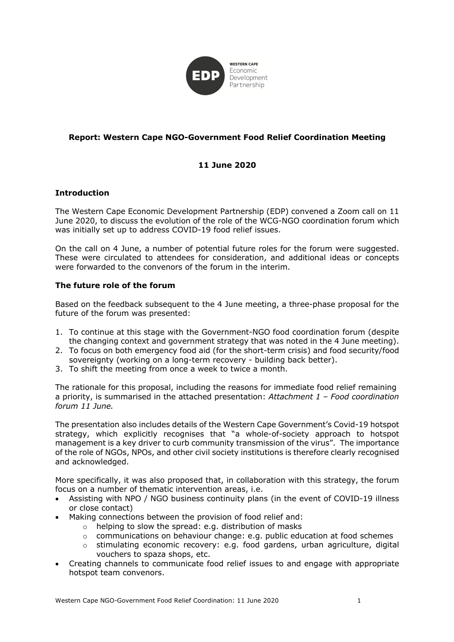

# **Report: Western Cape NGO-Government Food Relief Coordination Meeting**

# **11 June 2020**

## **Introduction**

The Western Cape Economic Development Partnership (EDP) convened a Zoom call on 11 June 2020, to discuss the evolution of the role of the WCG-NGO coordination forum which was initially set up to address COVID-19 food relief issues.

On the call on 4 June, a number of potential future roles for the forum were suggested. These were circulated to attendees for consideration, and additional ideas or concepts were forwarded to the convenors of the forum in the interim.

## **The future role of the forum**

Based on the feedback subsequent to the 4 June meeting, a three-phase proposal for the future of the forum was presented:

- 1. To continue at this stage with the Government-NGO food coordination forum (despite the changing context and government strategy that was noted in the 4 June meeting).
- 2. To focus on both emergency food aid (for the short-term crisis) and food security/food sovereignty (working on a long-term recovery - building back better).
- 3. To shift the meeting from once a week to twice a month.

The rationale for this proposal, including the reasons for immediate food relief remaining a priority, is summarised in the attached presentation: *Attachment 1 – Food coordination forum 11 June.*

The presentation also includes details of the Western Cape Government's Covid-19 hotspot strategy, which explicitly recognises that "a whole-of-society approach to hotspot management is a key driver to curb community transmission of the virus". The importance of the role of NGOs, NPOs, and other civil society institutions is therefore clearly recognised and acknowledged.

More specifically, it was also proposed that, in collaboration with this strategy, the forum focus on a number of thematic intervention areas, i.e.

- Assisting with NPO / NGO business continuity plans (in the event of COVID-19 illness or close contact)
- Making connections between the provision of food relief and:
	- o helping to slow the spread: e.g. distribution of masks
		- $\circ$  communications on behaviour change: e.g. public education at food schemes
		- $\circ$  stimulating economic recovery: e.g. food gardens, urban agriculture, digital vouchers to spaza shops, etc.
- Creating channels to communicate food relief issues to and engage with appropriate hotspot team convenors.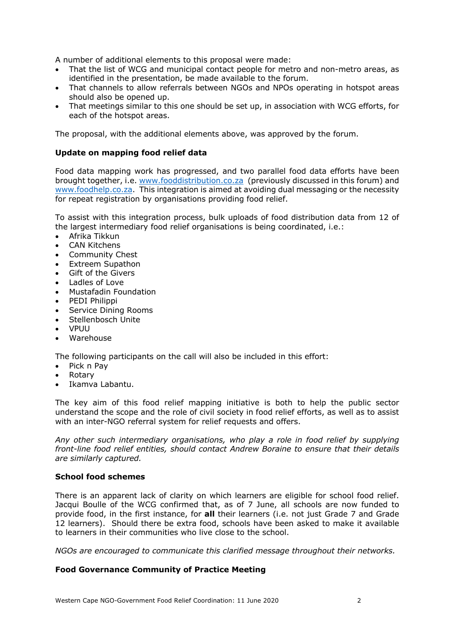A number of additional elements to this proposal were made:

- That the list of WCG and municipal contact people for metro and non-metro areas, as identified in the presentation, be made available to the forum.
- That channels to allow referrals between NGOs and NPOs operating in hotspot areas should also be opened up.
- That meetings similar to this one should be set up, in association with WCG efforts, for each of the hotspot areas.

The proposal, with the additional elements above, was approved by the forum.

### **Update on mapping food relief data**

Food data mapping work has progressed, and two parallel food data efforts have been brought together, i.e. www.fooddistribution.co.za (previously discussed in this forum) and www.foodhelp.co.za. This integration is aimed at avoiding dual messaging or the necessity for repeat registration by organisations providing food relief.

To assist with this integration process, bulk uploads of food distribution data from 12 of the largest intermediary food relief organisations is being coordinated, i.e.:

- Afrika Tikkun
- **CAN Kitchens**
- Community Chest
- Extreem Supathon
- Gift of the Givers
- Ladles of Love
- Mustafadin Foundation
- PEDI Philippi
- Service Dining Rooms
- Stellenbosch Unite
- VPUU
- Warehouse

The following participants on the call will also be included in this effort:

- Pick n Pay
- Rotary
- Ikamva Labantu.

The key aim of this food relief mapping initiative is both to help the public sector understand the scope and the role of civil society in food relief efforts, as well as to assist with an inter-NGO referral system for relief requests and offers.

*Any other such intermediary organisations, who play a role in food relief by supplying front-line food relief entities, should contact Andrew Boraine to ensure that their details are similarly captured.*

### **School food schemes**

There is an apparent lack of clarity on which learners are eligible for school food relief. Jacqui Boulle of the WCG confirmed that, as of 7 June, all schools are now funded to provide food, in the first instance, for **all** their learners (i.e. not just Grade 7 and Grade 12 learners). Should there be extra food, schools have been asked to make it available to learners in their communities who live close to the school.

*NGOs are encouraged to communicate this clarified message throughout their networks.*

### **Food Governance Community of Practice Meeting**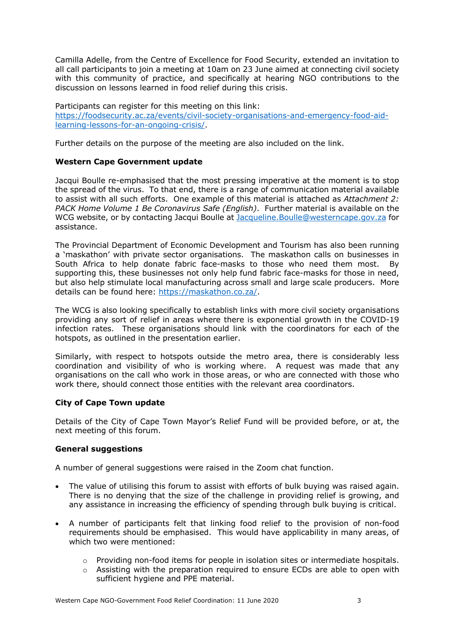Camilla Adelle, from the Centre of Excellence for Food Security, extended an invitation to all call participants to join a meeting at 10am on 23 June aimed at connecting civil society with this community of practice, and specifically at hearing NGO contributions to the discussion on lessons learned in food relief during this crisis.

Participants can register for this meeting on this link: https://foodsecurity.ac.za/events/civil-society-organisations-and-emergency-food-aidlearning-lessons-for-an-ongoing-crisis/.

Further details on the purpose of the meeting are also included on the link.

## **Western Cape Government update**

Jacqui Boulle re-emphasised that the most pressing imperative at the moment is to stop the spread of the virus. To that end, there is a range of communication material available to assist with all such efforts. One example of this material is attached as *Attachment 2: PACK Home Volume 1 Be Coronavirus Safe (English)*. Further material is available on the WCG website, or by contacting Jacqui Boulle at Jacqueline. Boulle@westerncape.gov.za for assistance.

The Provincial Department of Economic Development and Tourism has also been running a 'maskathon' with private sector organisations. The maskathon calls on businesses in South Africa to help donate fabric face-masks to those who need them most. By supporting this, these businesses not only help fund fabric face-masks for those in need, but also help stimulate local manufacturing across small and large scale producers. More details can be found here: https://maskathon.co.za/.

The WCG is also looking specifically to establish links with more civil society organisations providing any sort of relief in areas where there is exponential growth in the COVID-19 infection rates. These organisations should link with the coordinators for each of the hotspots, as outlined in the presentation earlier.

Similarly, with respect to hotspots outside the metro area, there is considerably less coordination and visibility of who is working where. A request was made that any organisations on the call who work in those areas, or who are connected with those who work there, should connect those entities with the relevant area coordinators.

# **City of Cape Town update**

Details of the City of Cape Town Mayor's Relief Fund will be provided before, or at, the next meeting of this forum.

### **General suggestions**

A number of general suggestions were raised in the Zoom chat function.

- The value of utilising this forum to assist with efforts of bulk buying was raised again. There is no denying that the size of the challenge in providing relief is growing, and any assistance in increasing the efficiency of spending through bulk buying is critical.
- A number of participants felt that linking food relief to the provision of non-food requirements should be emphasised. This would have applicability in many areas, of which two were mentioned:
	- $\circ$  Providing non-food items for people in isolation sites or intermediate hospitals.
	- $\circ$  Assisting with the preparation required to ensure ECDs are able to open with sufficient hygiene and PPE material.